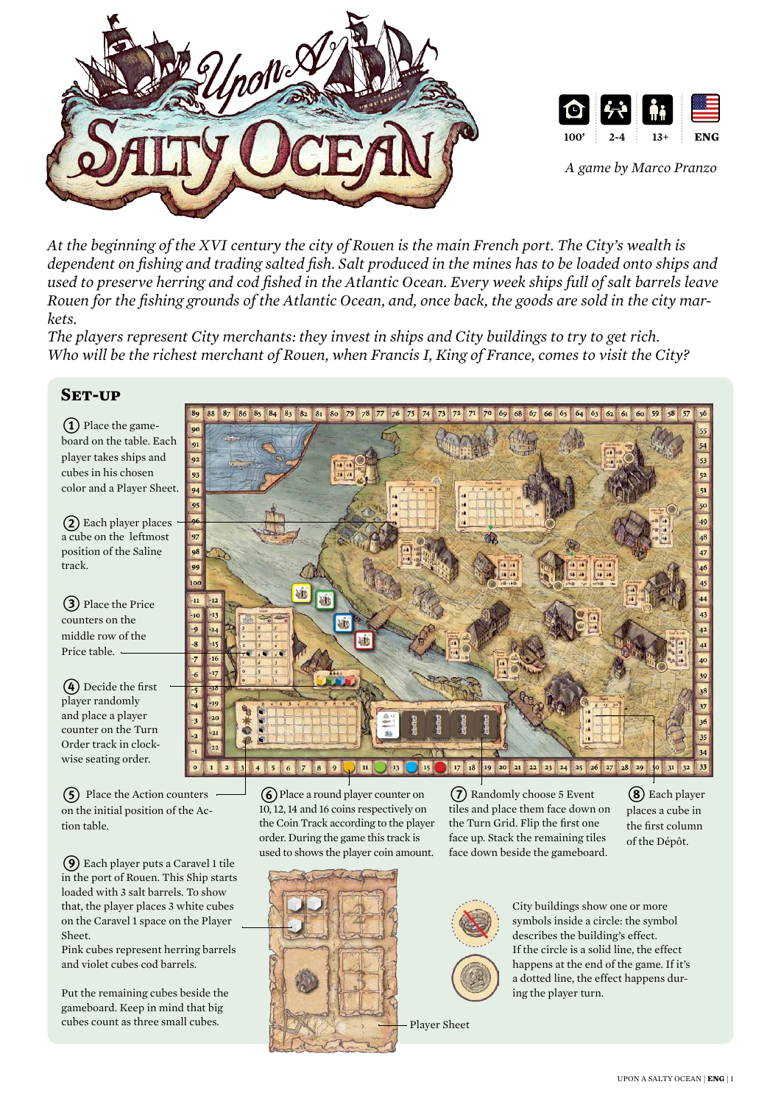



*A game by Marco Pranzo*

*At the beginning of the XVI century the city of Rouen is the main French port. The City's wealth is dependent on fishing and trading salted fish. Salt produced in the mines has to be loaded onto ships and used to preserve herring and cod fished in the Atlantic Ocean. Every week ships full of salt barrels leave Rouen for the fishing grounds of the Atlantic Ocean, and, once back, the goods are sold in the city markets.*

*The players represent City merchants: they invest in ships and City buildings to try to get rich. Who will be the richest merchant of Rouen, when Francis I, King of France, comes to visit the City?*

# **Set-up**

**1**) Place the gameboard on the table. Each player takes ships and cubes in his chosen color and a Player Sheet.

2 Each player places a cube on the leftmost position of the Saline track.

(3) Place the Price counters on the middle row of the Price table. -

(4) Decide the first player randomly and place a player counter on the Turn Order track in clockwise seating order.

5 Place the Action counters on the initial position of the Action table.

 $\Theta$  Each player puts a Caravel 1 tile used to shows the player coin amount. in the port of Rouen. This Ship starts loaded with 3 salt barrels. To show that, the player places 3 white cubes on the Caravel 1 space on the Player Sheet.

Pink cubes represent herring barrels and violet cubes cod barrels.

Put the remaining cubes beside the gameboard. Keep in mind that big cubes count as three small cubes.

86 85 84 83 82 81 80 79 78 77 76 75 74 73 72 71 70 69 68 67 66 65 64 63 62 61 60 59  $87$  $58$  $88$  $\overline{91}$  $9<sub>2</sub>$  $\mathbf{q}$  $\overline{Q}$  $\overline{\mathbf{5}}$  $\overline{05}$  $\overline{\mathbf{a}}$ 49 48 97 47  $\overline{\mathbf{8}}$  $\vert$  9  $18$ 20  $21$ 22 23 26  $28$ 29  $17$  $24$ 25 27

> 6 Place a round player counter on 10, 12, 14 and 16 coins respectively on the Coin Track according to the player order. During the game this track is

7 Randomly choose 5 Event tiles and place them face down on the Turn Grid. Flip the first one face up. Stack the remaining tiles face down beside the gameboard.

(8) Each player places a cube in the first column of the Dépôt.





happens at the end of the game. If it's a dotted line, the effect happens during the player turn.

City buildings show one or more symbols inside a circle: the symbol describes the building's effect. If the circle is a solid line, the effect

Player Sheet

upon a salty ocean | **eng** | 1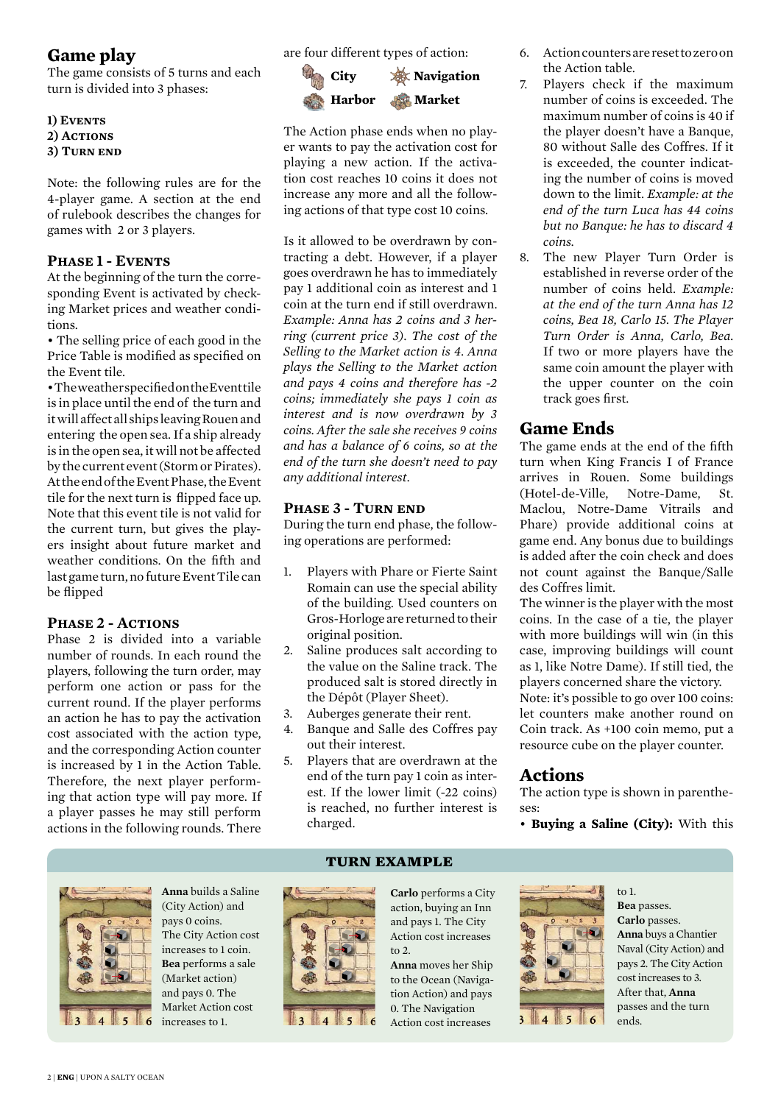# **Game play**

The game consists of 5 turns and each turn is divided into 3 phases:

**1) Events** 2) ACTIONS **3) Turn end**

Note: the following rules are for the 4-player game. A section at the end of rulebook describes the changes for games with 2 or 3 players.

## **Phase 1 - Events**

At the beginning of the turn the corresponding Event is activated by checking Market prices and weather conditions.

• The selling price of each good in the Price Table is modified as specified on the Event tile.

• The weather specified on the Event tile is in place until the end of the turn and it will affect all ships leaving Rouen and entering the open sea. If a ship already is in the open sea, it will not be affected by the current event (Storm or Pirates). At the end of the Event Phase, the Event tile for the next turn is flipped face up. Note that this event tile is not valid for the current turn, but gives the players insight about future market and weather conditions. On the fifth and last game turn, no future Event Tile can be flipped

## PHASE 2 - ACTIONS

Phase 2 is divided into a variable number of rounds. In each round the players, following the turn order, may perform one action or pass for the current round. If the player performs an action he has to pay the activation cost associated with the action type, and the corresponding Action counter is increased by 1 in the Action Table. Therefore, the next player performing that action type will pay more. If a player passes he may still perform actions in the following rounds. There

are four different types of action:



The Action phase ends when no player wants to pay the activation cost for playing a new action. If the activation cost reaches 10 coins it does not increase any more and all the following actions of that type cost 10 coins.

Is it allowed to be overdrawn by contracting a debt. However, if a player goes overdrawn he has to immediately pay 1 additional coin as interest and 1 coin at the turn end if still overdrawn. *Example: Anna has 2 coins and 3 herring (current price 3). The cost of the Selling to the Market action is 4. Anna plays the Selling to the Market action and pays 4 coins and therefore has -2 coins; immediately she pays 1 coin as interest and is now overdrawn by 3 coins. After the sale she receives 9 coins and has a balance of 6 coins, so at the end of the turn she doesn't need to pay any additional interest.*

## **Phase 3 - Turn end**

During the turn end phase, the following operations are performed:

- 1. Players with Phare or Fierte Saint Romain can use the special ability of the building. Used counters on Gros-Horloge are returned to their original position.
- 2. Saline produces salt according to the value on the Saline track. The produced salt is stored directly in the Dépôt (Player Sheet).
- 3. Auberges generate their rent.
- 4. Banque and Salle des Coffres pay out their interest.
- 5. Players that are overdrawn at the end of the turn pay 1 coin as interest. If the lower limit (-22 coins) is reached, no further interest is charged.



- 7. Players check if the maximum number of coins is exceeded. The maximum number of coins is 40 if the player doesn't have a Banque, 80 without Salle des Coffres. If it is exceeded, the counter indicating the number of coins is moved down to the limit. *Example: at the end of the turn Luca has 44 coins but no Banque: he has to discard 4 coins.*
- 8. The new Player Turn Order is established in reverse order of the number of coins held. *Example: at the end of the turn Anna has 12 coins, Bea 18, Carlo 15. The Player Turn Order is Anna, Carlo, Bea.*  If two or more players have the same coin amount the player with the upper counter on the coin track goes first.

# **Game Ends**

The game ends at the end of the fifth turn when King Francis I of France arrives in Rouen. Some buildings (Hotel-de-Ville, Notre-Dame, St. Maclou, Notre-Dame Vitrails and Phare) provide additional coins at game end. Any bonus due to buildings is added after the coin check and does not count against the Banque/Salle des Coffres limit.

The winner is the player with the most coins. In the case of a tie, the player with more buildings will win (in this case, improving buildings will count as 1, like Notre Dame). If still tied, the players concerned share the victory. Note: it's possible to go over 100 coins: let counters make another round on Coin track. As +100 coin memo, put a resource cube on the player counter.

# **Actions**

The action type is shown in parentheses:

• **Buying a Saline (City):** With this

to 1. **Bea** passes.



**Anna** builds a Saline (City Action) and pays 0 coins. The City Action cost increases to 1 coin. **Bea** performs a sale (Market action) and pays 0. The Market Action cost **i** 5 **6** increases to 1.

### **turn example**



**Carlo** performs a City action, buying an Inn and pays 1. The City Action cost increases to  $2$ .

**Anna** moves her Ship to the Ocean (Navigation Action) and pays 0. The Navigation Action cost increases



**Carlo** passes. **Anna** buys a Chantier Naval (City Action) and pays 2. The City Action cost increases to 3. After that, **Anna** passes and the turn ends.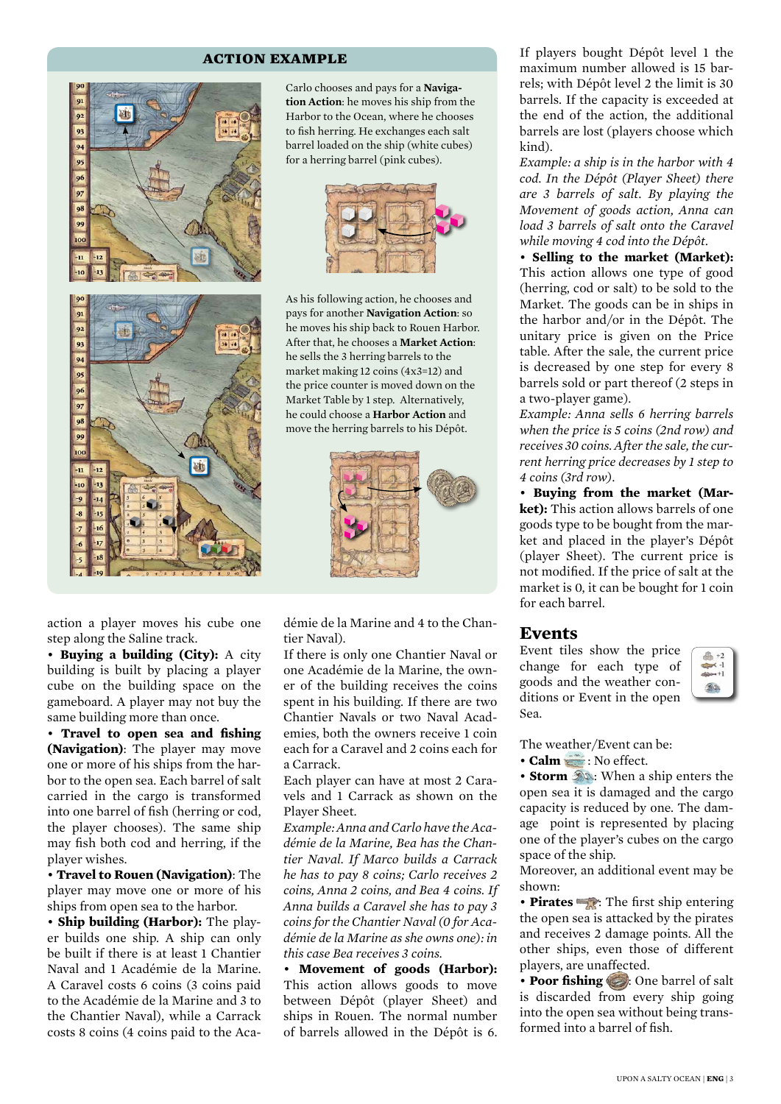#### **action example**



Carlo chooses and pays for a **Navigation Action**: he moves his ship from the Harbor to the Ocean, where he chooses to fish herring. He exchanges each salt barrel loaded on the ship (white cubes) for a herring barrel (pink cubes).



As his following action, he chooses and pays for another **Navigation Action**: so he moves his ship back to Rouen Harbor. After that, he chooses a **Market Action**: he sells the 3 herring barrels to the market making 12 coins (4x3=12) and the price counter is moved down on the Market Table by 1 step. Alternatively, he could choose a **Harbor Action** and move the herring barrels to his Dépôt.



action a player moves his cube one step along the Saline track.

• **Buying a building (City):** A city building is built by placing a player cube on the building space on the gameboard. A player may not buy the same building more than once.

• **Travel to open sea and fishing (Navigation)**: The player may move one or more of his ships from the harbor to the open sea. Each barrel of salt carried in the cargo is transformed into one barrel of fish (herring or cod, the player chooses). The same ship may fish both cod and herring, if the player wishes.

• **Travel to Rouen (Navigation)**: The player may move one or more of his ships from open sea to the harbor.

• **Ship building (Harbor):** The player builds one ship. A ship can only be built if there is at least 1 Chantier Naval and 1 Académie de la Marine. A Caravel costs 6 coins (3 coins paid to the Académie de la Marine and 3 to the Chantier Naval), while a Carrack costs 8 coins (4 coins paid to the Académie de la Marine and 4 to the Chantier Naval).

If there is only one Chantier Naval or one Académie de la Marine, the owner of the building receives the coins spent in his building. If there are two Chantier Navals or two Naval Academies, both the owners receive 1 coin each for a Caravel and 2 coins each for a Carrack.

Each player can have at most 2 Caravels and 1 Carrack as shown on the Player Sheet.

*Example: Anna and Carlo have the Académie de la Marine, Bea has the Chantier Naval. If Marco builds a Carrack he has to pay 8 coins; Carlo receives 2 coins, Anna 2 coins, and Bea 4 coins. If Anna builds a Caravel she has to pay 3 coins for the Chantier Naval (0 for Académie de la Marine as she owns one): in this case Bea receives 3 coins.*

• **Movement of goods (Harbor):** This action allows goods to move between Dépôt (player Sheet) and ships in Rouen. The normal number of barrels allowed in the Dépôt is 6.

If players bought Dépôt level 1 the maximum number allowed is 15 barrels; with Dépôt level 2 the limit is 30 barrels. If the capacity is exceeded at the end of the action, the additional barrels are lost (players choose which kind).

*Example: a ship is in the harbor with 4 cod. In the Dépôt (Player Sheet) there are 3 barrels of salt. By playing the Movement of goods action, Anna can load 3 barrels of salt onto the Caravel while moving 4 cod into the Dépôt.*

• **Selling to the market (Market):** This action allows one type of good (herring, cod or salt) to be sold to the Market. The goods can be in ships in the harbor and/or in the Dépôt. The unitary price is given on the Price table. After the sale, the current price is decreased by one step for every 8 barrels sold or part thereof (2 steps in a two-player game).

*Example: Anna sells 6 herring barrels when the price is 5 coins (2nd row) and receives 30 coins. After the sale, the current herring price decreases by 1 step to 4 coins (3rd row).*

• **Buying from the market (Market):** This action allows barrels of one goods type to be bought from the market and placed in the player's Dépôt (player Sheet). The current price is not modified. If the price of salt at the market is 0, it can be bought for 1 coin for each barrel.

### **Events**

Event tiles show the price change for each type of goods and the weather conditions or Event in the open Sea.



The weather/Event can be:

• **Calm** : No effect.

• **Storm**  $\mathcal{D}$ : When a ship enters the open sea it is damaged and the cargo capacity is reduced by one. The damage point is represented by placing one of the player's cubes on the cargo space of the ship.

Moreover, an additional event may be shown:

• **Pirates** : The first ship entering the open sea is attacked by the pirates and receives 2 damage points. All the other ships, even those of different players, are unaffected.

• **Poor fishing** : One barrel of salt is discarded from every ship going into the open sea without being transformed into a barrel of fish.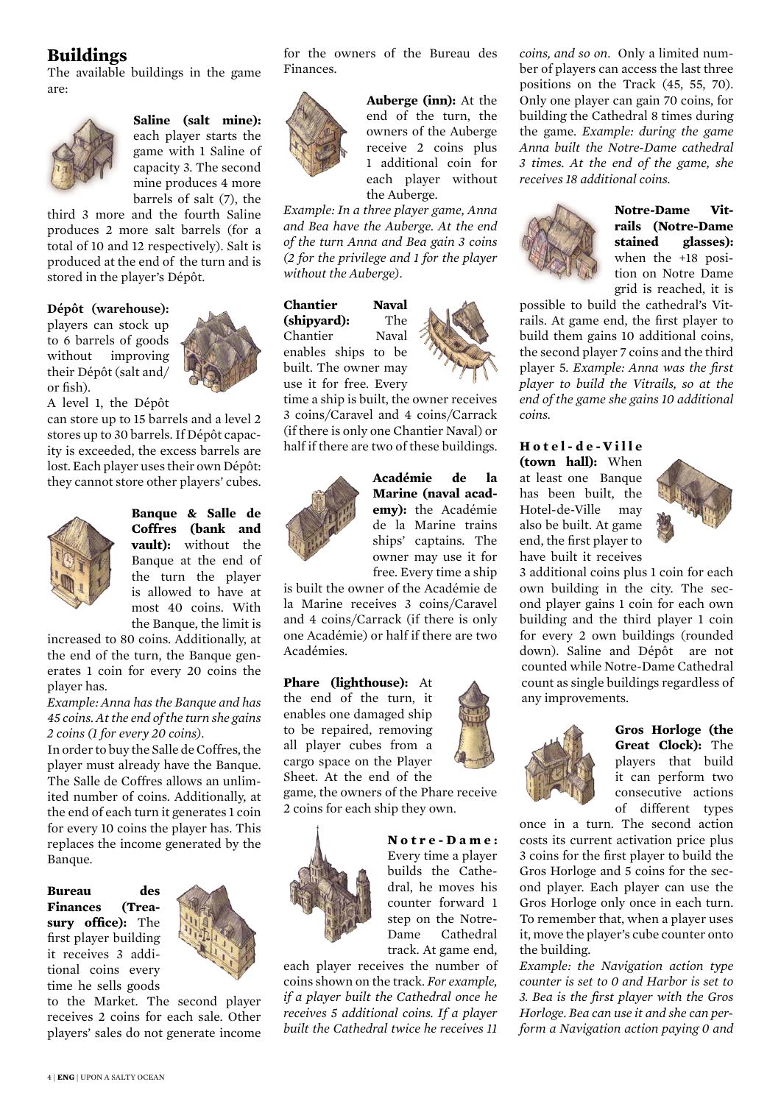# **Buildings**

The available buildings in the game are:



**Saline (salt mine):** each player starts the game with 1 Saline of capacity 3. The second mine produces 4 more barrels of salt (7), the

third 3 more and the fourth Saline produces 2 more salt barrels (for a total of 10 and 12 respectively). Salt is produced at the end of the turn and is stored in the player's Dépôt.

#### **Dépôt (warehouse):**

players can stock up to 6 barrels of goods without improving their Dépôt (salt and/ or fish).



A level 1, the Dépôt can store up to 15 barrels and a level 2 stores up to 30 barrels. If Dépôt capacity is exceeded, the excess barrels are lost. Each player uses their own Dépôt: they cannot store other players' cubes.



**Banque & Salle de Coffres (bank and vault):** without the Banque at the end of the turn the player is allowed to have at most 40 coins. With the Banque, the limit is

increased to 80 coins. Additionally, at the end of the turn, the Banque generates 1 coin for every 20 coins the player has.

*Example: Anna has the Banque and has 45 coins. At the end of the turn she gains 2 coins (1 for every 20 coins).*

In order to buy the Salle de Coffres, the player must already have the Banque. The Salle de Coffres allows an unlimited number of coins. Additionally, at the end of each turn it generates 1 coin for every 10 coins the player has. This replaces the income generated by the Banque.

**Bureau des Finances (Treasury office):** The first player building it receives 3 additional coins every time he sells goods



to the Market. The second player receives 2 coins for each sale. Other players' sales do not generate income for the owners of the Bureau des Finances.



**Auberge (inn):** At the end of the turn, the owners of the Auberge receive 2 coins plus 1 additional coin for each player without the Auberge.

*Example: In a three player game, Anna and Bea have the Auberge. At the end of the turn Anna and Bea gain 3 coins (2 for the privilege and 1 for the player without the Auberge).*

**Chantier Naval (shipyard):** The Chantier Naval enables ships to be built. The owner may

use it for free. Every time a ship is built, the owner receives 3 coins/Caravel and 4 coins/Carrack (if there is only one Chantier Naval) or half if there are two of these buildings.



**Académie de la Marine (naval academy):** the Académie de la Marine trains ships' captains. The owner may use it for free. Every time a ship

is built the owner of the Académie de la Marine receives 3 coins/Caravel and 4 coins/Carrack (if there is only one Académie) or half if there are two Académies.

#### **Phare (lighthouse):** At

the end of the turn, it enables one damaged ship to be repaired, removing all player cubes from a cargo space on the Player Sheet. At the end of the

game, the owners of the Phare receive 2 coins for each ship they own.



### **N o t r e - D a m e :**  Every time a player builds the Cathedral, he moves his counter forward 1 step on the Notre-Dame Cathedral track. At game end,

each player receives the number of coins shown on the track. *For example, if a player built the Cathedral once he receives 5 additional coins. If a player built the Cathedral twice he receives 11* 

*coins, and so on*. Only a limited number of players can access the last three positions on the Track (45, 55, 70). Only one player can gain 70 coins, for building the Cathedral 8 times during the game. *Example: during the game Anna built the Notre-Dame cathedral 3 times. At the end of the game, she receives 18 additional coins.*



**Notre-Dame Vitrails (Notre-Dame stained glasses):**  when the +18 position on Notre Dame grid is reached, it is

possible to build the cathedral's Vitrails. At game end, the first player to build them gains 10 additional coins, the second player 7 coins and the third player 5. *Example: Anna was the first player to build the Vitrails, so at the end of the game she gains 10 additional coins.*

### **H o t e l - d e - V i l l e (town hall):** When at least one Banque has been built, the Hotel-de-Ville may also be built. At game end, the first player to have built it receives



3 additional coins plus 1 coin for each own building in the city. The second player gains 1 coin for each own building and the third player 1 coin for every 2 own buildings (rounded down). Saline and Dépôt are not counted while Notre-Dame Cathedral count as single buildings regardless of any improvements.



**Gros Horloge (the Great Clock):** The players that build it can perform two consecutive actions of different types

once in a turn. The second action costs its current activation price plus 3 coins for the first player to build the Gros Horloge and 5 coins for the second player. Each player can use the Gros Horloge only once in each turn. To remember that, when a player uses it, move the player's cube counter onto the building.

*Example: the Navigation action type counter is set to 0 and Harbor is set to 3. Bea is the first player with the Gros Horloge. Bea can use it and she can perform a Navigation action paying 0 and*